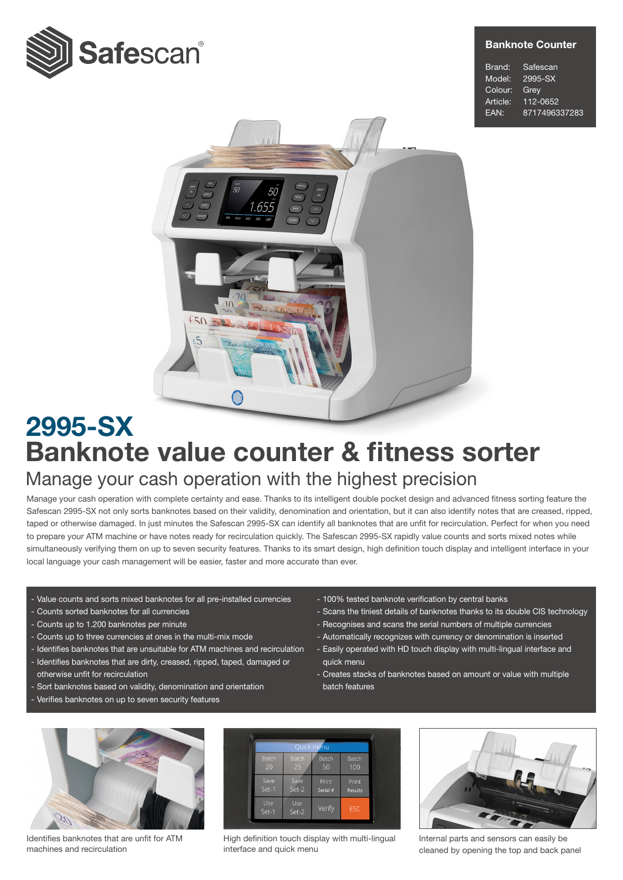

#### Banknote Counter

Brand: Safescan Model: 2995-SX Colour: Grey Article: 112-0652 EAN: 8717496337283



# Banknote value counter & fitness sorter 2995-SX Manage your cash operation with the highest precision

Manage your cash operation with complete certainty and ease. Thanks to its intelligent double pocket design and advanced fitness sorting feature the Safescan 2995-SX not only sorts banknotes based on their validity, denomination and orientation, but it can also identify notes that are creased, ripped, taped or otherwise damaged. In just minutes the Safescan 2995-SX can identify all banknotes that are unfit for recirculation. Perfect for when you need to prepare your ATM machine or have notes ready for recirculation quickly. The Safescan 2995-SX rapidly value counts and sorts mixed notes while simultaneously verifying them on up to seven security features. Thanks to its smart design, high definition touch display and intelligent interface in your local language your cash management will be easier, faster and more accurate than ever.

- Value counts and sorts mixed banknotes for all pre-installed currencies
- Counts sorted banknotes for all currencies
- Counts up to 1.200 banknotes per minute
- Counts up to three currencies at ones in the multi-mix mode
- Identifies banknotes that are unsuitable for ATM machines and recirculation
- Identifies banknotes that are dirty, creased, ripped, taped, damaged or otherwise unfit for recirculation
- Sort banknotes based on validity, denomination and orientation
- Verifies banknotes on up to seven security features
- 100% tested banknote verification by central banks
- Scans the tiniest details of banknotes thanks to its double CIS technology
- Recognises and scans the serial numbers of multiple currencies
- Automatically recognizes with currency or denomination is inserted
- Easily operated with HD touch display with multi-lingual interface and quick menu
- Creates stacks of banknotes based on amount or value with multiple batch features



Identifies banknotes that are unfit for ATM machines and recirculation



High definition touch display with multi-lingual interface and quick menu



Internal parts and sensors can easily be cleaned by opening the top and back panel